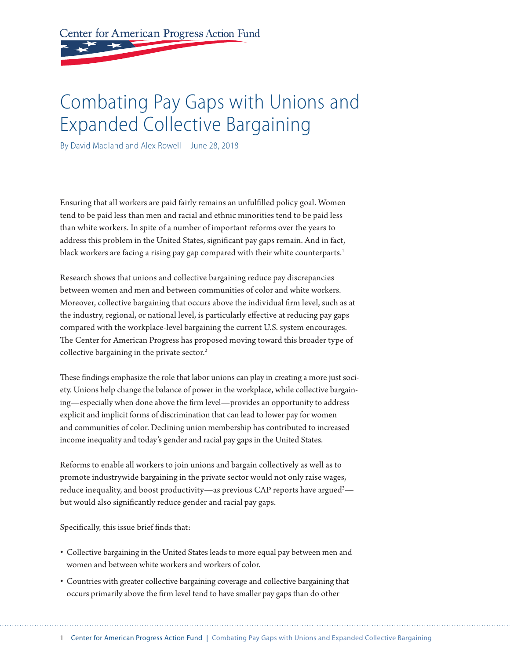Center for American Progress Action Fund

# Combating Pay Gaps with Unions and Expanded Collective Bargaining

By David Madland and Alex Rowell June 28, 2018

Ensuring that all workers are paid fairly remains an unfulfilled policy goal. Women tend to be paid less than men and racial and ethnic minorities tend to be paid less than white workers. In spite of a number of important reforms over the years to address this problem in the United States, significant pay gaps remain. And in fact, black workers are facing a rising pay gap compared with their white counterparts.<sup>1</sup>

Research shows that unions and collective bargaining reduce pay discrepancies between women and men and between communities of color and white workers. Moreover, collective bargaining that occurs above the individual firm level, such as at the industry, regional, or national level, is particularly effective at reducing pay gaps compared with the workplace-level bargaining the current U.S. system encourages. The Center for American Progress has proposed moving toward this broader type of collective bargaining in the private sector.<sup>2</sup>

These findings emphasize the role that labor unions can play in creating a more just society. Unions help change the balance of power in the workplace, while collective bargaining—especially when done above the firm level—provides an opportunity to address explicit and implicit forms of discrimination that can lead to lower pay for women and communities of color. Declining union membership has contributed to increased income inequality and today's gender and racial pay gaps in the United States.

Reforms to enable all workers to join unions and bargain collectively as well as to promote industrywide bargaining in the private sector would not only raise wages, reduce inequality, and boost productivity—as previous CAP reports have argued $^3$ but would also significantly reduce gender and racial pay gaps.

Specifically, this issue brief finds that:

- Collective bargaining in the United States leads to more equal pay between men and women and between white workers and workers of color.
- Countries with greater collective bargaining coverage and collective bargaining that occurs primarily above the firm level tend to have smaller pay gaps than do other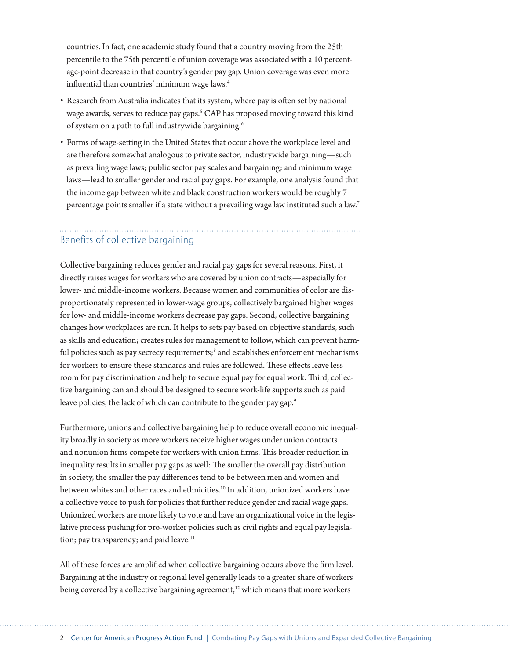countries. In fact, one academic study found that a country moving from the 25th percentile to the 75th percentile of union coverage was associated with a 10 percentage-point decrease in that country's gender pay gap. Union coverage was even more influential than countries' minimum wage laws.<sup>4</sup>

- Research from Australia indicates that its system, where pay is often set by national wage awards, serves to reduce pay gaps.5 CAP has proposed moving toward this kind of system on a path to full industrywide bargaining.6
- Forms of wage-setting in the United States that occur above the workplace level and are therefore somewhat analogous to private sector, industrywide bargaining—such as prevailing wage laws; public sector pay scales and bargaining; and minimum wage laws—lead to smaller gender and racial pay gaps. For example, one analysis found that the income gap between white and black construction workers would be roughly 7 percentage points smaller if a state without a prevailing wage law instituted such a law.<sup>7</sup>

# Benefits of collective bargaining

Collective bargaining reduces gender and racial pay gaps for several reasons. First, it directly raises wages for workers who are covered by union contracts—especially for lower- and middle-income workers. Because women and communities of color are disproportionately represented in lower-wage groups, collectively bargained higher wages for low- and middle-income workers decrease pay gaps. Second, collective bargaining changes how workplaces are run. It helps to sets pay based on objective standards, such as skills and education; creates rules for management to follow, which can prevent harmful policies such as pay secrecy requirements;<sup>8</sup> and establishes enforcement mechanisms for workers to ensure these standards and rules are followed. These effects leave less room for pay discrimination and help to secure equal pay for equal work. Third, collective bargaining can and should be designed to secure work-life supports such as paid leave policies, the lack of which can contribute to the gender pay gap.<sup>9</sup>

Furthermore, unions and collective bargaining help to reduce overall economic inequality broadly in society as more workers receive higher wages under union contracts and nonunion firms compete for workers with union firms. This broader reduction in inequality results in smaller pay gaps as well: The smaller the overall pay distribution in society, the smaller the pay differences tend to be between men and women and between whites and other races and ethnicities.10 In addition, unionized workers have a collective voice to push for policies that further reduce gender and racial wage gaps. Unionized workers are more likely to vote and have an organizational voice in the legislative process pushing for pro-worker policies such as civil rights and equal pay legislation; pay transparency; and paid leave.<sup>11</sup>

All of these forces are amplified when collective bargaining occurs above the firm level. Bargaining at the industry or regional level generally leads to a greater share of workers being covered by a collective bargaining agreement,<sup>12</sup> which means that more workers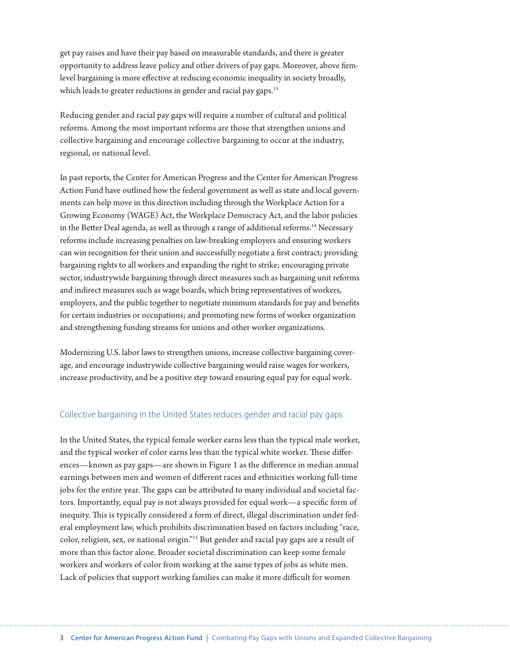get pay raises and have their pay based on measurable standards, and there is greater opportunity to address leave policy and other drivers of pay gaps. Moreover, above firmlevel bargaining is more effective at reducing economic inequality in society broadly, which leads to greater reductions in gender and racial pay gaps.<sup>13</sup>

Reducing gender and racial pay gaps will require a number of cultural and political reforms. Among the most important reforms are those that strengthen unions and collective bargaining and encourage collective bargaining to occur at the industry, regional, or national level.

In past reports, the Center for American Progress and the Center for American Progress Action Fund have outlined how the federal government as well as state and local governments can help move in this direction including through the Workplace Action for a Growing Economy (WAGE) Act, the Workplace Democracy Act, and the labor policies in the Better Deal agenda, as well as through a range of additional reforms.<sup>14</sup> Necessary reforms include increasing penalties on law-breaking employers and ensuring workers can win recognition for their union and successfully negotiate a first contract; providing bargaining rights to all workers and expanding the right to strike; encouraging private sector, industrywide bargaining through direct measures such as bargaining unit reforms and indirect measures such as wage boards, which bring representatives of workers, employers, and the public together to negotiate minimum standards for pay and benefits for certain industries or occupations; and promoting new forms of worker organization and strengthening funding streams for unions and other worker organizations.

Modernizing U.S. labor laws to strengthen unions, increase collective bargaining coverage, and encourage industrywide collective bargaining would raise wages for workers, increase productivity, and be a positive step toward ensuring equal pay for equal work.

#### Collective bargaining in the United States reduces gender and racial pay gaps

In the United States, the typical female worker earns less than the typical male worker, and the typical worker of color earns less than the typical white worker. These differences—known as pay gaps—are shown in Figure 1 as the difference in median annual earnings between men and women of different races and ethnicities working full-time jobs for the entire year. The gaps can be attributed to many individual and societal factors. Importantly, equal pay is not always provided for equal work—a specific form of inequity. This is typically considered a form of direct, illegal discrimination under federal employment law, which prohibits discrimination based on factors including "race, color, religion, sex, or national origin."15 But gender and racial pay gaps are a result of more than this factor alone. Broader societal discrimination can keep some female workers and workers of color from working at the same types of jobs as white men. Lack of policies that support working families can make it more difficult for women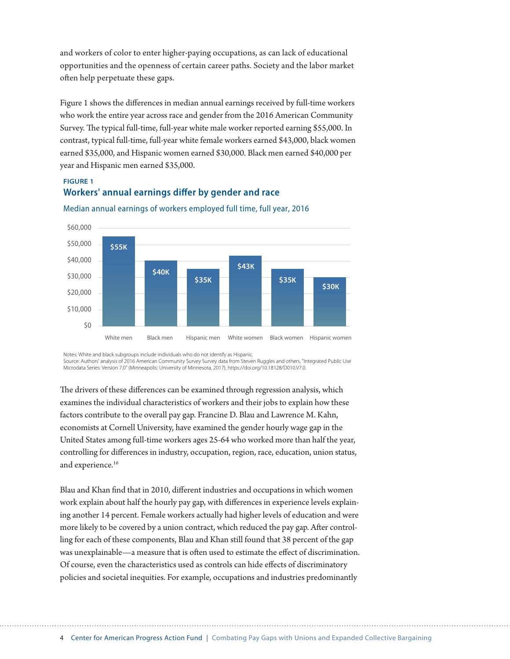and workers of color to enter higher-paying occupations, as can lack of educational opportunities and the openness of certain career paths. Society and the labor market often help perpetuate these gaps.

Figure 1 shows the differences in median annual earnings received by full-time workers who work the entire year across race and gender from the 2016 American Community Survey. The typical full-time, full-year white male worker reported earning \$55,000. In contrast, typical full-time, full-year white female workers earned \$43,000, black women earned \$35,000, and Hispanic women earned \$30,000. Black men earned \$40,000 per year and Hispanic men earned \$35,000.

# **FIGURE 1 Workers' annual earnings differ by gender and race**



Median annual earnings of workers employed full time, full year, 2016

Notes: White and black subgroups include individuals who do not identify as Hispanic.

Source: Authors' analysis of 2016 American Community Survey Survey data from Steven Ruggles and others, "Integrated Public Use<br>Microdata Series: Version 7.0" (Minneapolis: University of Minnesota, 2017), https://doi.org/10

The drivers of these differences can be examined through regression analysis, which examines the individual characteristics of workers and their jobs to explain how these factors contribute to the overall pay gap. Francine D. Blau and Lawrence M. Kahn, economists at Cornell University, have examined the gender hourly wage gap in the United States among full-time workers ages 25-64 who worked more than half the year, controlling for differences in industry, occupation, region, race, education, union status, and experience.<sup>16</sup>

Blau and Khan find that in 2010, different industries and occupations in which women work explain about half the hourly pay gap, with differences in experience levels explaining another 14 percent. Female workers actually had higher levels of education and were more likely to be covered by a union contract, which reduced the pay gap. After controlling for each of these components, Blau and Khan still found that 38 percent of the gap was unexplainable—a measure that is often used to estimate the effect of discrimination. Of course, even the characteristics used as controls can hide effects of discriminatory policies and societal inequities. For example, occupations and industries predominantly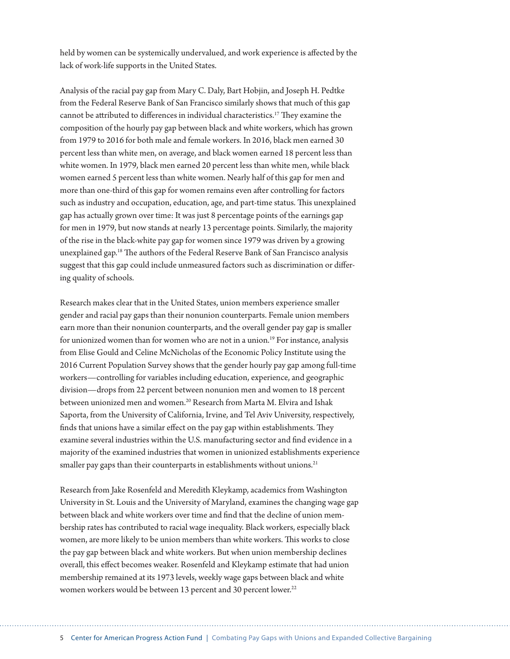held by women can be systemically undervalued, and work experience is affected by the lack of work-life supports in the United States.

Analysis of the racial pay gap from Mary C. Daly, Bart Hobjin, and Joseph H. Pedtke from the Federal Reserve Bank of San Francisco similarly shows that much of this gap cannot be attributed to differences in individual characteristics.17 They examine the composition of the hourly pay gap between black and white workers, which has grown from 1979 to 2016 for both male and female workers. In 2016, black men earned 30 percent less than white men, on average, and black women earned 18 percent less than white women. In 1979, black men earned 20 percent less than white men, while black women earned 5 percent less than white women. Nearly half of this gap for men and more than one-third of this gap for women remains even after controlling for factors such as industry and occupation, education, age, and part-time status. This unexplained gap has actually grown over time: It was just 8 percentage points of the earnings gap for men in 1979, but now stands at nearly 13 percentage points. Similarly, the majority of the rise in the black-white pay gap for women since 1979 was driven by a growing unexplained gap.18 The authors of the Federal Reserve Bank of San Francisco analysis suggest that this gap could include unmeasured factors such as discrimination or differing quality of schools.

Research makes clear that in the United States, union members experience smaller gender and racial pay gaps than their nonunion counterparts. Female union members earn more than their nonunion counterparts, and the overall gender pay gap is smaller for unionized women than for women who are not in a union.<sup>19</sup> For instance, analysis from Elise Gould and Celine McNicholas of the Economic Policy Institute using the 2016 Current Population Survey shows that the gender hourly pay gap among full-time workers—controlling for variables including education, experience, and geographic division—drops from 22 percent between nonunion men and women to 18 percent between unionized men and women.<sup>20</sup> Research from Marta M. Elvira and Ishak Saporta, from the University of California, Irvine, and Tel Aviv University, respectively, finds that unions have a similar effect on the pay gap within establishments. They examine several industries within the U.S. manufacturing sector and find evidence in a majority of the examined industries that women in unionized establishments experience smaller pay gaps than their counterparts in establishments without unions.<sup>21</sup>

Research from Jake Rosenfeld and Meredith Kleykamp, academics from Washington University in St. Louis and the University of Maryland, examines the changing wage gap between black and white workers over time and find that the decline of union membership rates has contributed to racial wage inequality. Black workers, especially black women, are more likely to be union members than white workers. This works to close the pay gap between black and white workers. But when union membership declines overall, this effect becomes weaker. Rosenfeld and Kleykamp estimate that had union membership remained at its 1973 levels, weekly wage gaps between black and white women workers would be between 13 percent and 30 percent lower.<sup>22</sup>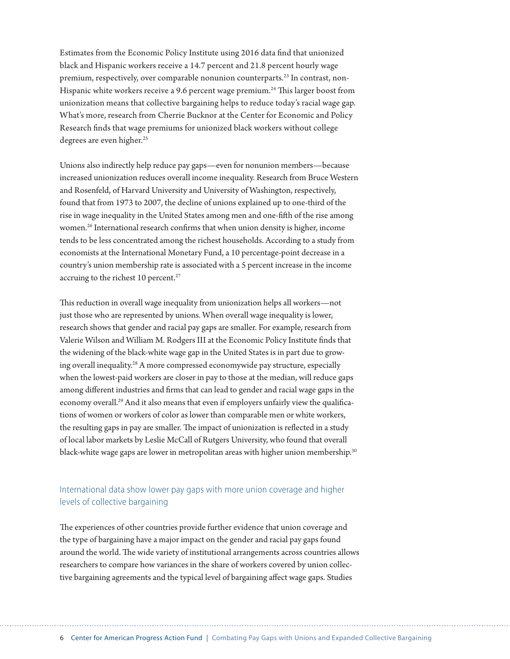Estimates from the Economic Policy Institute using 2016 data find that unionized black and Hispanic workers receive a 14.7 percent and 21.8 percent hourly wage premium, respectively, over comparable nonunion counterparts.<sup>23</sup> In contrast, non-Hispanic white workers receive a 9.6 percent wage premium.<sup>24</sup> This larger boost from unionization means that collective bargaining helps to reduce today's racial wage gap. What's more, research from Cherrie Bucknor at the Center for Economic and Policy Research finds that wage premiums for unionized black workers without college degrees are even higher.<sup>25</sup>

Unions also indirectly help reduce pay gaps—even for nonunion members—because increased unionization reduces overall income inequality. Research from Bruce Western and Rosenfeld, of Harvard University and University of Washington, respectively, found that from 1973 to 2007, the decline of unions explained up to one-third of the rise in wage inequality in the United States among men and one-fifth of the rise among women.<sup>26</sup> International research confirms that when union density is higher, income tends to be less concentrated among the richest households. According to a study from economists at the International Monetary Fund, a 10 percentage-point decrease in a country's union membership rate is associated with a 5 percent increase in the income accruing to the richest 10 percent.<sup>27</sup>

This reduction in overall wage inequality from unionization helps all workers—not just those who are represented by unions. When overall wage inequality is lower, research shows that gender and racial pay gaps are smaller. For example, research from Valerie Wilson and William M. Rodgers III at the Economic Policy Institute finds that the widening of the black-white wage gap in the United States is in part due to growing overall inequality.28 A more compressed economywide pay structure, especially when the lowest-paid workers are closer in pay to those at the median, will reduce gaps among different industries and firms that can lead to gender and racial wage gaps in the economy overall.<sup>29</sup> And it also means that even if employers unfairly view the qualifications of women or workers of color as lower than comparable men or white workers, the resulting gaps in pay are smaller. The impact of unionization is reflected in a study of local labor markets by Leslie McCall of Rutgers University, who found that overall black-white wage gaps are lower in metropolitan areas with higher union membership.<sup>30</sup>

## International data show lower pay gaps with more union coverage and higher levels of collective bargaining

The experiences of other countries provide further evidence that union coverage and the type of bargaining have a major impact on the gender and racial pay gaps found around the world. The wide variety of institutional arrangements across countries allows researchers to compare how variances in the share of workers covered by union collective bargaining agreements and the typical level of bargaining affect wage gaps. Studies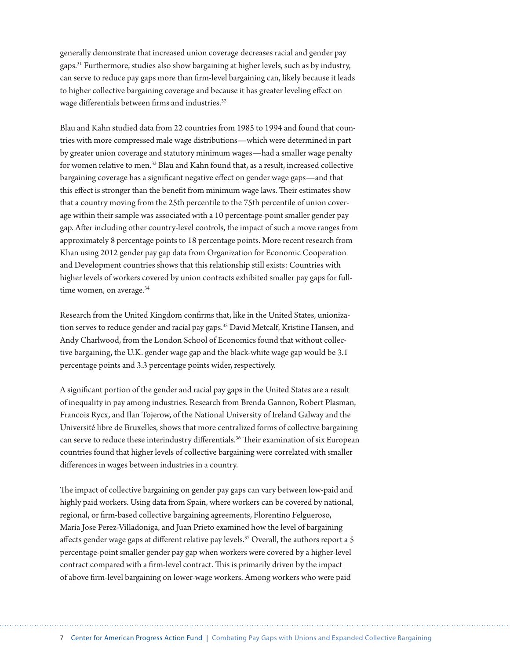generally demonstrate that increased union coverage decreases racial and gender pay gaps.31 Furthermore, studies also show bargaining at higher levels, such as by industry, can serve to reduce pay gaps more than firm-level bargaining can, likely because it leads to higher collective bargaining coverage and because it has greater leveling effect on wage differentials between firms and industries.<sup>32</sup>

Blau and Kahn studied data from 22 countries from 1985 to 1994 and found that countries with more compressed male wage distributions—which were determined in part by greater union coverage and statutory minimum wages—had a smaller wage penalty for women relative to men.<sup>33</sup> Blau and Kahn found that, as a result, increased collective bargaining coverage has a significant negative effect on gender wage gaps—and that this effect is stronger than the benefit from minimum wage laws. Their estimates show that a country moving from the 25th percentile to the 75th percentile of union coverage within their sample was associated with a 10 percentage-point smaller gender pay gap. After including other country-level controls, the impact of such a move ranges from approximately 8 percentage points to 18 percentage points. More recent research from Khan using 2012 gender pay gap data from Organization for Economic Cooperation and Development countries shows that this relationship still exists: Countries with higher levels of workers covered by union contracts exhibited smaller pay gaps for fulltime women, on average.<sup>34</sup>

Research from the United Kingdom confirms that, like in the United States, unionization serves to reduce gender and racial pay gaps.35 David Metcalf, Kristine Hansen, and Andy Charlwood, from the London School of Economics found that without collective bargaining, the U.K. gender wage gap and the black-white wage gap would be 3.1 percentage points and 3.3 percentage points wider, respectively.

A significant portion of the gender and racial pay gaps in the United States are a result of inequality in pay among industries. Research from Brenda Gannon, Robert Plasman, Francois Rycx, and Ilan Tojerow, of the National University of Ireland Galway and the Université libre de Bruxelles, shows that more centralized forms of collective bargaining can serve to reduce these interindustry differentials.<sup>36</sup> Their examination of six European countries found that higher levels of collective bargaining were correlated with smaller differences in wages between industries in a country.

The impact of collective bargaining on gender pay gaps can vary between low-paid and highly paid workers. Using data from Spain, where workers can be covered by national, regional, or firm-based collective bargaining agreements, Florentino Felgueroso, Maria Jose Perez-Villadoniga, and Juan Prieto examined how the level of bargaining affects gender wage gaps at different relative pay levels.<sup>37</sup> Overall, the authors report a 5 percentage-point smaller gender pay gap when workers were covered by a higher-level contract compared with a firm-level contract. This is primarily driven by the impact of above firm-level bargaining on lower-wage workers. Among workers who were paid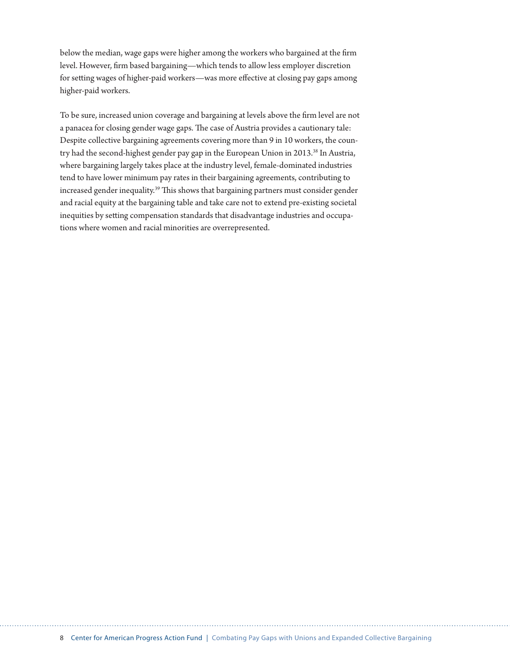below the median, wage gaps were higher among the workers who bargained at the firm level. However, firm based bargaining—which tends to allow less employer discretion for setting wages of higher-paid workers—was more effective at closing pay gaps among higher-paid workers.

To be sure, increased union coverage and bargaining at levels above the firm level are not a panacea for closing gender wage gaps. The case of Austria provides a cautionary tale: Despite collective bargaining agreements covering more than 9 in 10 workers, the country had the second-highest gender pay gap in the European Union in 2013.<sup>38</sup> In Austria, where bargaining largely takes place at the industry level, female-dominated industries tend to have lower minimum pay rates in their bargaining agreements, contributing to increased gender inequality.<sup>39</sup> This shows that bargaining partners must consider gender and racial equity at the bargaining table and take care not to extend pre-existing societal inequities by setting compensation standards that disadvantage industries and occupations where women and racial minorities are overrepresented.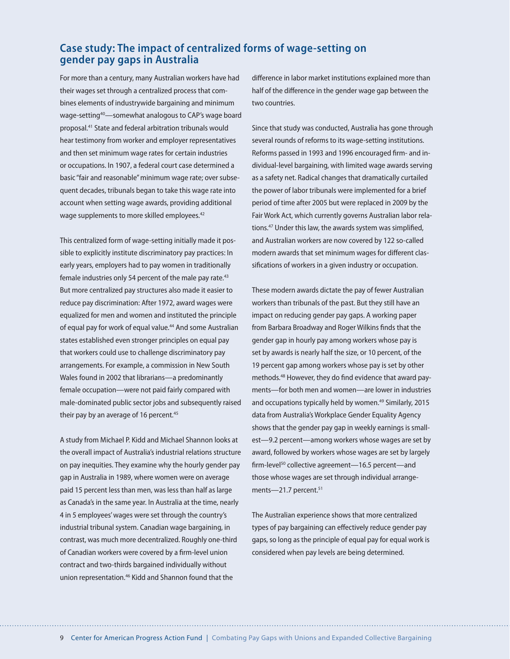# **Case study: The impact of centralized forms of wage-setting on gender pay gaps in Australia**

For more than a century, many Australian workers have had their wages set through a centralized process that combines elements of industrywide bargaining and minimum wage-setting<sup>40</sup>—somewhat analogous to CAP's wage board proposal.<sup>41</sup> State and federal arbitration tribunals would hear testimony from worker and employer representatives and then set minimum wage rates for certain industries or occupations. In 1907, a federal court case determined a basic "fair and reasonable" minimum wage rate; over subsequent decades, tribunals began to take this wage rate into account when setting wage awards, providing additional wage supplements to more skilled employees.<sup>42</sup>

This centralized form of wage-setting initially made it possible to explicitly institute discriminatory pay practices: In early years, employers had to pay women in traditionally female industries only 54 percent of the male pay rate.<sup>43</sup> But more centralized pay structures also made it easier to reduce pay discrimination: After 1972, award wages were equalized for men and women and instituted the principle of equal pay for work of equal value.<sup>44</sup> And some Australian states established even stronger principles on equal pay that workers could use to challenge discriminatory pay arrangements. For example, a commission in New South Wales found in 2002 that librarians—a predominantly female occupation—were not paid fairly compared with male-dominated public sector jobs and subsequently raised their pay by an average of 16 percent. $45$ 

A study from Michael P. Kidd and Michael Shannon looks at the overall impact of Australia's industrial relations structure on pay inequities. They examine why the hourly gender pay gap in Australia in 1989, where women were on average paid 15 percent less than men, was less than half as large as Canada's in the same year. In Australia at the time, nearly 4 in 5 employees' wages were set through the country's industrial tribunal system. Canadian wage bargaining, in contrast, was much more decentralized. Roughly one-third of Canadian workers were covered by a firm-level union contract and two-thirds bargained individually without union representation.<sup>46</sup> Kidd and Shannon found that the

difference in labor market institutions explained more than half of the difference in the gender wage gap between the two countries.

Since that study was conducted, Australia has gone through several rounds of reforms to its wage-setting institutions. Reforms passed in 1993 and 1996 encouraged firm- and individual-level bargaining, with limited wage awards serving as a safety net. Radical changes that dramatically curtailed the power of labor tribunals were implemented for a brief period of time after 2005 but were replaced in 2009 by the Fair Work Act, which currently governs Australian labor relations.<sup>47</sup> Under this law, the awards system was simplified, and Australian workers are now covered by 122 so-called modern awards that set minimum wages for different classifications of workers in a given industry or occupation.

These modern awards dictate the pay of fewer Australian workers than tribunals of the past. But they still have an impact on reducing gender pay gaps. A working paper from Barbara Broadway and Roger Wilkins finds that the gender gap in hourly pay among workers whose pay is set by awards is nearly half the size, or 10 percent, of the 19 percent gap among workers whose pay is set by other methods.48 However, they do find evidence that award payments—for both men and women—are lower in industries and occupations typically held by women.<sup>49</sup> Similarly, 2015 data from Australia's Workplace Gender Equality Agency shows that the gender pay gap in weekly earnings is smallest—9.2 percent—among workers whose wages are set by award, followed by workers whose wages are set by largely firm-level<sup>50</sup> collective agreement—16.5 percent—and those whose wages are set through individual arrangements-21.7 percent.<sup>51</sup>

The Australian experience shows that more centralized types of pay bargaining can effectively reduce gender pay gaps, so long as the principle of equal pay for equal work is considered when pay levels are being determined.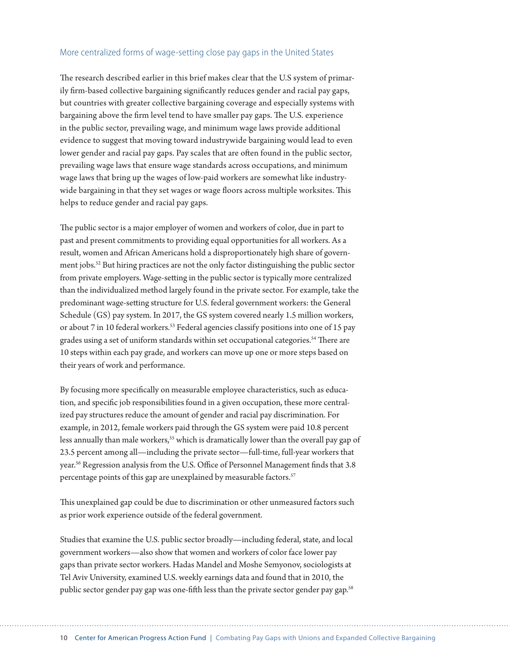#### More centralized forms of wage-setting close pay gaps in the United States

The research described earlier in this brief makes clear that the U.S system of primarily firm-based collective bargaining significantly reduces gender and racial pay gaps, but countries with greater collective bargaining coverage and especially systems with bargaining above the firm level tend to have smaller pay gaps. The U.S. experience in the public sector, prevailing wage, and minimum wage laws provide additional evidence to suggest that moving toward industrywide bargaining would lead to even lower gender and racial pay gaps. Pay scales that are often found in the public sector, prevailing wage laws that ensure wage standards across occupations, and minimum wage laws that bring up the wages of low-paid workers are somewhat like industrywide bargaining in that they set wages or wage floors across multiple worksites. This helps to reduce gender and racial pay gaps.

The public sector is a major employer of women and workers of color, due in part to past and present commitments to providing equal opportunities for all workers. As a result, women and African Americans hold a disproportionately high share of government jobs.52 But hiring practices are not the only factor distinguishing the public sector from private employers. Wage-setting in the public sector is typically more centralized than the individualized method largely found in the private sector. For example, take the predominant wage-setting structure for U.S. federal government workers: the General Schedule (GS) pay system. In 2017, the GS system covered nearly 1.5 million workers, or about 7 in 10 federal workers.<sup>53</sup> Federal agencies classify positions into one of 15 pay grades using a set of uniform standards within set occupational categories.<sup>54</sup> There are 10 steps within each pay grade, and workers can move up one or more steps based on their years of work and performance.

By focusing more specifically on measurable employee characteristics, such as education, and specific job responsibilities found in a given occupation, these more centralized pay structures reduce the amount of gender and racial pay discrimination. For example, in 2012, female workers paid through the GS system were paid 10.8 percent less annually than male workers,<sup>55</sup> which is dramatically lower than the overall pay gap of 23.5 percent among all—including the private sector—full-time, full-year workers that year.56 Regression analysis from the U.S. Office of Personnel Management finds that 3.8 percentage points of this gap are unexplained by measurable factors.<sup>57</sup>

This unexplained gap could be due to discrimination or other unmeasured factors such as prior work experience outside of the federal government.

Studies that examine the U.S. public sector broadly—including federal, state, and local government workers—also show that women and workers of color face lower pay gaps than private sector workers. Hadas Mandel and Moshe Semyonov, sociologists at Tel Aviv University, examined U.S. weekly earnings data and found that in 2010, the public sector gender pay gap was one-fifth less than the private sector gender pay gap.<sup>58</sup>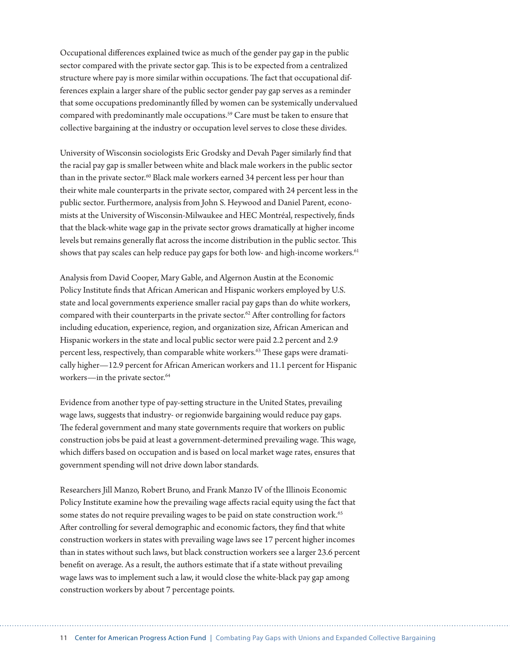Occupational differences explained twice as much of the gender pay gap in the public sector compared with the private sector gap. This is to be expected from a centralized structure where pay is more similar within occupations. The fact that occupational differences explain a larger share of the public sector gender pay gap serves as a reminder that some occupations predominantly filled by women can be systemically undervalued compared with predominantly male occupations.<sup>59</sup> Care must be taken to ensure that collective bargaining at the industry or occupation level serves to close these divides.

University of Wisconsin sociologists Eric Grodsky and Devah Pager similarly find that the racial pay gap is smaller between white and black male workers in the public sector than in the private sector.<sup>60</sup> Black male workers earned 34 percent less per hour than their white male counterparts in the private sector, compared with 24 percent less in the public sector. Furthermore, analysis from John S. Heywood and Daniel Parent, economists at the University of Wisconsin-Milwaukee and HEC Montréal, respectively, finds that the black-white wage gap in the private sector grows dramatically at higher income levels but remains generally flat across the income distribution in the public sector. This shows that pay scales can help reduce pay gaps for both low- and high-income workers.<sup>61</sup>

Analysis from David Cooper, Mary Gable, and Algernon Austin at the Economic Policy Institute finds that African American and Hispanic workers employed by U.S. state and local governments experience smaller racial pay gaps than do white workers, compared with their counterparts in the private sector.<sup>62</sup> After controlling for factors including education, experience, region, and organization size, African American and Hispanic workers in the state and local public sector were paid 2.2 percent and 2.9 percent less, respectively, than comparable white workers.<sup>63</sup> These gaps were dramatically higher—12.9 percent for African American workers and 11.1 percent for Hispanic workers—in the private sector.<sup>64</sup>

Evidence from another type of pay-setting structure in the United States, prevailing wage laws, suggests that industry- or regionwide bargaining would reduce pay gaps. The federal government and many state governments require that workers on public construction jobs be paid at least a government-determined prevailing wage. This wage, which differs based on occupation and is based on local market wage rates, ensures that government spending will not drive down labor standards.

Researchers Jill Manzo, Robert Bruno, and Frank Manzo IV of the Illinois Economic Policy Institute examine how the prevailing wage affects racial equity using the fact that some states do not require prevailing wages to be paid on state construction work.<sup>65</sup> After controlling for several demographic and economic factors, they find that white construction workers in states with prevailing wage laws see 17 percent higher incomes than in states without such laws, but black construction workers see a larger 23.6 percent benefit on average. As a result, the authors estimate that if a state without prevailing wage laws was to implement such a law, it would close the white-black pay gap among construction workers by about 7 percentage points.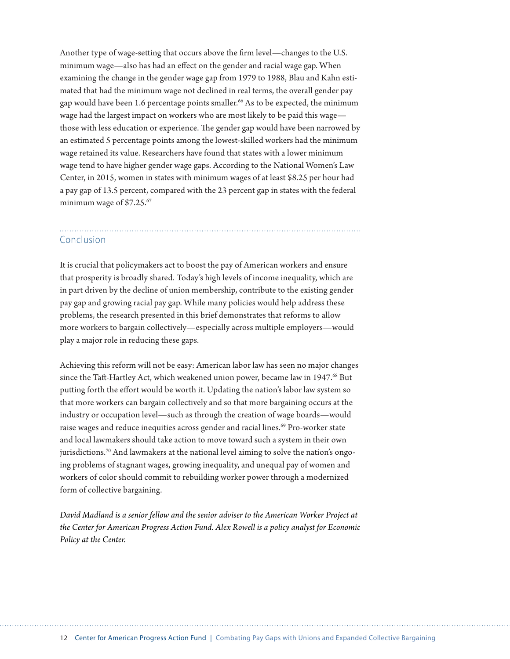Another type of wage-setting that occurs above the firm level—changes to the U.S. minimum wage—also has had an effect on the gender and racial wage gap. When examining the change in the gender wage gap from 1979 to 1988, Blau and Kahn estimated that had the minimum wage not declined in real terms, the overall gender pay gap would have been 1.6 percentage points smaller.<sup>66</sup> As to be expected, the minimum wage had the largest impact on workers who are most likely to be paid this wage those with less education or experience. The gender gap would have been narrowed by an estimated 5 percentage points among the lowest-skilled workers had the minimum wage retained its value. Researchers have found that states with a lower minimum wage tend to have higher gender wage gaps. According to the National Women's Law Center, in 2015, women in states with minimum wages of at least \$8.25 per hour had a pay gap of 13.5 percent, compared with the 23 percent gap in states with the federal minimum wage of \$7.25.<sup>67</sup>

# Conclusion

It is crucial that policymakers act to boost the pay of American workers and ensure that prosperity is broadly shared. Today's high levels of income inequality, which are in part driven by the decline of union membership, contribute to the existing gender pay gap and growing racial pay gap. While many policies would help address these problems, the research presented in this brief demonstrates that reforms to allow more workers to bargain collectively—especially across multiple employers—would play a major role in reducing these gaps.

Achieving this reform will not be easy: American labor law has seen no major changes since the Taft-Hartley Act, which weakened union power, became law in 1947.<sup>68</sup> But putting forth the effort would be worth it. Updating the nation's labor law system so that more workers can bargain collectively and so that more bargaining occurs at the industry or occupation level—such as through the creation of wage boards—would raise wages and reduce inequities across gender and racial lines.<sup>69</sup> Pro-worker state and local lawmakers should take action to move toward such a system in their own jurisdictions.<sup>70</sup> And lawmakers at the national level aiming to solve the nation's ongoing problems of stagnant wages, growing inequality, and unequal pay of women and workers of color should commit to rebuilding worker power through a modernized form of collective bargaining.

*David Madland is a senior fellow and the senior adviser to the American Worker Project at the Center for American Progress Action Fund. Alex Rowell is a policy analyst for Economic Policy at the Center.*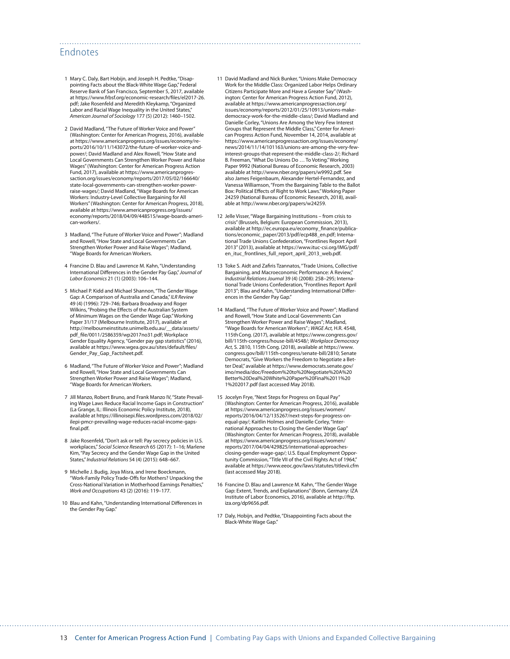### Endnotes

- 1 Mary C. Daly, Bart Hobijn, and Joseph H. Pedtke, "Disappointing Facts about the Black-White Wage Gap," Federal Reserve Bank of San Francisco, September 5, 2017, available at [https://www.frbsf.org/economic-research/files/el2017-26.](https://www.frbsf.org/economic-research/files/el2017-26.pdf) [pdf](https://www.frbsf.org/economic-research/files/el2017-26.pdf); Jake Rosenfeld and Meredith Kleykamp, "Organized Labor and Racial Wage Inequality in the United States," *American Journal of Sociology* 177 (5) (2012): 1460–1502.
- 2 David Madland, "The Future of Worker Voice and Power" (Washington: Center for American Progress, 2016), available at [https://www.americanprogress.org/issues/economy/re](https://www.americanprogress.org/issues/economy/reports/2016/10/11/143072/the-future-of-worker-voice-and-power/)[ports/2016/10/11/143072/the-future-of-worker-voice-and](https://www.americanprogress.org/issues/economy/reports/2016/10/11/143072/the-future-of-worker-voice-and-power/)[power/;](https://www.americanprogress.org/issues/economy/reports/2016/10/11/143072/the-future-of-worker-voice-and-power/) David Madland and Alex Rowell, "How State and Local Governments Can Strengthen Worker Power and Raise Wages" (Washington: Center for American Progress Action Fund, 2017), available at [https://www.americanprogres](https://www.americanprogressaction.org/issues/economy/reports/2017/05/02/166640/state-local-governments-can-strengthen-worker-power-raise-wages/)[saction.org/issues/economy/reports/2017/05/02/166640/](https://www.americanprogressaction.org/issues/economy/reports/2017/05/02/166640/state-local-governments-can-strengthen-worker-power-raise-wages/) [state-local-governments-can-strengthen-worker-power](https://www.americanprogressaction.org/issues/economy/reports/2017/05/02/166640/state-local-governments-can-strengthen-worker-power-raise-wages/)[raise-wages/](https://www.americanprogressaction.org/issues/economy/reports/2017/05/02/166640/state-local-governments-can-strengthen-worker-power-raise-wages/); David Madland, "Wage Boards for American Workers: Industry-Level Collective Bargaining for All Workers" (Washington: Center for American Progress, 2018), available at [https://www.americanprogress.org/issues/](https://www.americanprogress.org/issues/economy/reports/2018/04/09/448515/wage-boards-american-workers/) [economy/reports/2018/04/09/448515/wage-boards-ameri](https://www.americanprogress.org/issues/economy/reports/2018/04/09/448515/wage-boards-american-workers/)[can-workers/](https://www.americanprogress.org/issues/economy/reports/2018/04/09/448515/wage-boards-american-workers/).
- 3 Madland, "The Future of Worker Voice and Power"; Madland and Rowell, "How State and Local Governments Can Strengthen Worker Power and Raise Wages"; Madland, "Wage Boards for American Workers.
- 4 Francine D. Blau and Lawrence M. Kahn, "Understanding International Differences in the Gender Pay Gap," *Journal of Labor Economics* 21 (1) (2003): 106–144.
- 5 Michael P. Kidd and Michael Shannon, "The Gender Wage Gap: A Comparison of Australia and Canada," *ILR Review*  49 (4) (1996): 729–746; Barbara Broadway and Roger Wilkins, "Probing the Effects of the Australian System of Minimum Wages on the Gender Wage Gap." Working Paper 31/17 (Melbourne Institute, 2017), available at [http://melbourneinstitute.unimelb.edu.au/\\_\\_data/assets/](http://melbourneinstitute.unimelb.edu.au/__data/assets/pdf_file/0011/2586359/wp2017no31.pdf) [pdf\\_file/0011/2586359/wp2017no31.pdf;](http://melbourneinstitute.unimelb.edu.au/__data/assets/pdf_file/0011/2586359/wp2017no31.pdf) Workplace Gender Equality Agency, "Gender pay gap statistics" (2016), available at [https://www.wgea.gov.au/sites/default/files/](https://www.wgea.gov.au/sites/default/files/Gender_Pay_Gap_Factsheet.pdf) [Gender\\_Pay\\_Gap\\_Factsheet.pdf.](https://www.wgea.gov.au/sites/default/files/Gender_Pay_Gap_Factsheet.pdf)
- 6 Madland, "The Future of Worker Voice and Power"; Madland and Rowell, "How State and Local Governments Can Strengthen Worker Power and Raise Wages"; Madland, "Wage Boards for American Workers.
- 7 Jill Manzo, Robert Bruno, and Frank Manzo IV, "State Prevailing Wage Laws Reduce Racial Income Gaps in Construction" (La Grange, IL: Illinois Economic Policy Institute, 2018), available at [https://illinoisepi.files.wordpress.com/2018/02/](https://illinoisepi.files.wordpress.com/2018/02/ilepi-pmcr-prevailing-wage-reduces-racial-income-gaps-final.pdf) [ilepi-pmcr-prevailing-wage-reduces-racial-income-gaps](https://illinoisepi.files.wordpress.com/2018/02/ilepi-pmcr-prevailing-wage-reduces-racial-income-gaps-final.pdf)[final.pdf](https://illinoisepi.files.wordpress.com/2018/02/ilepi-pmcr-prevailing-wage-reduces-racial-income-gaps-final.pdf).
- 8 Jake Rosenfeld, "Don't ask or tell: Pay secrecy policies in U.S. workplaces," *Social Science Research* 65 (2017): 1–16; Marlene Kim, "Pay Secrecy and the Gender Wage Gap in the United States," *Industrial Relations* 54 (4) (2015): 648–667.
- 9 Michelle J. Budig, Joya Misra, and Irene Boeckmann, "Work-Family Policy Trade-Offs for Mothers? Unpacking the Cross-National Variation in Motherhood Earnings Penalties," *Work and Occupations* 43 (2) (2016): 119–177.
- 10 Blau and Kahn, "Understanding International Differences in the Gender Pay Gap."

11 David Madland and Nick Bunker, "Unions Make Democracy Work for the Middle Class: Organized Labor Helps Ordinary Citizens Participate More and Have a Greater Say" (Washington: Center for American Progress Action Fund, 2012), available at [https://www.americanprogressaction.org/](https://www.americanprogressaction.org/issues/economy/reports/2012/01/25/10913/unions-make-democracy-work-for-the-middle-class/) [issues/economy/reports/2012/01/25/10913/unions-make](https://www.americanprogressaction.org/issues/economy/reports/2012/01/25/10913/unions-make-democracy-work-for-the-middle-class/)[democracy-work-for-the-middle-class/;](https://www.americanprogressaction.org/issues/economy/reports/2012/01/25/10913/unions-make-democracy-work-for-the-middle-class/) David Madland and Danielle Corley, "Unions Are Among the Very Few Interest Groups that Represent the Middle Class," Center for American Progress Action Fund, November 14, 2014, available at [https://www.americanprogressaction.org/issues/economy/](https://www.americanprogressaction.org/issues/economy/news/2014/11/14/101163/unions-are-among-the-very-few-interest-groups-that-represent-the-middle-class-2/) [news/2014/11/14/101163/unions-are-among-the-very-few](https://www.americanprogressaction.org/issues/economy/news/2014/11/14/101163/unions-are-among-the-very-few-interest-groups-that-represent-the-middle-class-2/)[interest-groups-that-represent-the-middle-class-2/;](https://www.americanprogressaction.org/issues/economy/news/2014/11/14/101163/unions-are-among-the-very-few-interest-groups-that-represent-the-middle-class-2/) Richard B. Freeman, "What Do Unions Do … To Voting." Working Paper 9992 (National Bureau of Economic Research, 2003) available at [http://www.nber.org/papers/w9992.pdf.](http://www.nber.org/papers/w9992.pdf) See also James Feigenbaum, Alexander Hertel-Fernandez, and Vanessa Williamson, "From the Bargaining Table to the Ballot Box: Political Effects of Right to Work Laws." Working Paper 24259 (National Bureau of Economic Research, 2018), available at <http://www.nber.org/papers/w24259>.

- 12 Jelle Visser, "Wage Bargaining Institutions from crisis to crisis" (Brussels, Belgium: European Commission, 2013), available at [http://ec.europa.eu/economy\\_finance/publica](http://ec.europa.eu/economy_finance/publications/economic_paper/2013/pdf/ecp488_en.pdf)[tions/economic\\_paper/2013/pdf/ecp488\\_en.pdf;](http://ec.europa.eu/economy_finance/publications/economic_paper/2013/pdf/ecp488_en.pdf) International Trade Unions Confederation, "Frontlines Report April 2013" (2013), available at [https://www.ituc-csi.org/IMG/pdf/](https://www.ituc-csi.org/IMG/pdf/en_ituc_frontlines_full_report_april_2013_web.pdf) [en\\_ituc\\_frontlines\\_full\\_report\\_april\\_2013\\_web.pdf.](https://www.ituc-csi.org/IMG/pdf/en_ituc_frontlines_full_report_april_2013_web.pdf)
- 13 Toke S. Aidt and Zafiris Tzannatos, "Trade Unions, Collective Bargaining, and Macroeconomic Performance: A Review," *Industrial Relations Journal* 39 (4) (2008): 258–295; International Trade Unions Confederation, "Frontlines Report April 2013"; Blau and Kahn, "Understanding International Differences in the Gender Pay Gap."
- 14 Madland, "The Future of Worker Voice and Power"; Madland and Rowell, "How State and Local Governments Can Strengthen Worker Power and Raise Wages"; Madland, "Wage Boards for American Workers" ; *WAGE Act,* H.R. 4548, 115thCong. (2017), available at [https://www.congress.gov/](https://www.congress.gov/bill/115th-congress/house-bill/4548/) [bill/115th-congress/house-bill/4548/;](https://www.congress.gov/bill/115th-congress/house-bill/4548/) *Workplace Democracy Act,* S. 2810, 115th Cong. (2018), available at [https://www.](https://www.congress.gov/bill/115th-congress/senate-bill/2810) [congress.gov/bill/115th-congress/senate-bill/2810;](https://www.congress.gov/bill/115th-congress/senate-bill/2810) Senate Democrats, "Give Workers the Freedom to Negotiate a Better Deal," available at [https://www.democrats.senate.gov/](https://www.democrats.senate.gov/imo/media/doc/Freedom%20to%20Negotiate%20A%20Better%20Deal%20White%20Paper%20Final%2011%201%202017.pdf) [imo/media/doc/Freedom%20to%20Negotiate%20A%20](https://www.democrats.senate.gov/imo/media/doc/Freedom%20to%20Negotiate%20A%20Better%20Deal%20White%20Paper%20Final%2011%201%202017.pdf) [Better%20Deal%20White%20Paper%20Final%2011%20](https://www.democrats.senate.gov/imo/media/doc/Freedom%20to%20Negotiate%20A%20Better%20Deal%20White%20Paper%20Final%2011%201%202017.pdf) [1%202017.pdf](https://www.democrats.senate.gov/imo/media/doc/Freedom%20to%20Negotiate%20A%20Better%20Deal%20White%20Paper%20Final%2011%201%202017.pdf) (last accessed May 2018).
- 15 Jocelyn Frye, "Next Steps for Progress on Equal Pay" (Washington: Center for American Progress, 2016), available at [https://www.americanprogress.org/issues/women/](https://www.americanprogress.org/issues/women/reports/2016/04/12/135267/next-steps-for-progress-on-equal-pay/) [reports/2016/04/12/135267/next-steps-for-progress-on](https://www.americanprogress.org/issues/women/reports/2016/04/12/135267/next-steps-for-progress-on-equal-pay/)[equal-pay/](https://www.americanprogress.org/issues/women/reports/2016/04/12/135267/next-steps-for-progress-on-equal-pay/); Kaitlin Holmes and Danielle Corley, "International Approaches to Closing the Gender Wage Gap" (Washington: Center for American Progress, 2018), available at [https://www.americanprogress.org/issues/women/](https://www.americanprogress.org/issues/women/reports/2017/04/04/429825/international-approaches-closing-gender-wage-gap/) [reports/2017/04/04/429825/international-approaches](https://www.americanprogress.org/issues/women/reports/2017/04/04/429825/international-approaches-closing-gender-wage-gap/)[closing-gender-wage-gap/;](https://www.americanprogress.org/issues/women/reports/2017/04/04/429825/international-approaches-closing-gender-wage-gap/) U.S. Equal Employment Opportunity Commission, "Title VII of the Civil Rights Act of 1964," available at<https://www.eeoc.gov/laws/statutes/titlevii.cfm> (last accessed May 2018).
- 16 Francine D. Blau and Lawrence M. Kahn, "The Gender Wage Gap: Extent, Trends, and Explanations" (Bonn, Germany: IZA Institute of Labor Economics, 2016), available at [http://ftp.](http://ftp.iza.org/dp9656.pdf) [iza.org/dp9656.pdf.](http://ftp.iza.org/dp9656.pdf)
- 17 Daly, Hobijn, and Pedtke, "Disappointing Facts about the Black-White Wage Gap."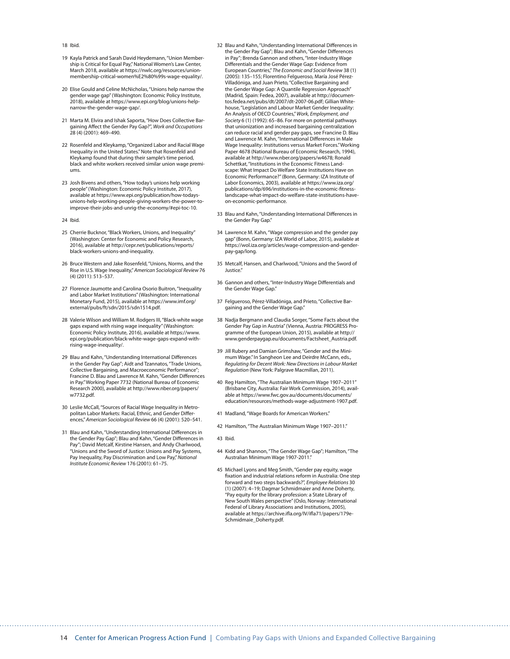#### 18 Ibid.

- 19 Kayla Patrick and Sarah David Heydemann, "Union Membership is Critical for Equal Pay," National Women's Law Center, March 2018, available at [https://nwlc.org/resources/union](https://nwlc.org/resources/union-membership-critical-women%E2%80%99s-wage-equality/)[membership-critical-women%E2%80%99s-wage-equality/](https://nwlc.org/resources/union-membership-critical-women%E2%80%99s-wage-equality/).
- 20 Elise Gould and Celine McNicholas, "Unions help narrow the gender wage gap" (Washington: Economic Policy Institute, 2018), available at [https://www.epi.org/blog/unions-help](https://www.epi.org/blog/unions-help-narrow-the-gender-wage-gap/)[narrow-the-gender-wage-gap/.](https://www.epi.org/blog/unions-help-narrow-the-gender-wage-gap/)
- 21 Marta M. Elvira and Ishak Saporta, "How Does Collective Bargaining Affect the Gender Pay Gap?", *Work and Occupations*  28 (4) (2001): 469–490.
- 22 Rosenfeld and Kleykamp, "Organized Labor and Racial Wage Inequality in the United States." Note that Rosenfeld and Kleykamp found that during their sample's time period, black and white workers received similar union wage premiums.
- 23 Josh Bivens and others, "How today's unions help working people" (Washington: Economic Policy Institute, 2017), available at https://www.epi.org/publication/how-todaysunions-help-working-people-giving-workers-the-power-toimprove-their-jobs-and-unrig-the-economy/#epi-toc-10.
- 24 Ibid.
- 25 Cherrie Bucknor, "Black Workers, Unions, and Inequality" (Washington: Center for Economic and Policy Research, 2016), available at [http://cepr.net/publications/reports/](http://cepr.net/publications/reports/black-workers-unions-and-inequality) [black-workers-unions-and-inequality](http://cepr.net/publications/reports/black-workers-unions-and-inequality).
- 26 Bruce Western and Jake Rosenfeld, "Unions, Norms, and the Rise in U.S. Wage Inequality," *American Sociological Review* 76 (4) (2011): 513–537.
- 27 Florence Jaumotte and Carolina Osorio Buitron, "Inequality and Labor Market Institutions" (Washington: International Monetary Fund, 2015), available at [https://www.imf.org/](https://www.imf.org/external/pubs/ft/sdn/2015/sdn1514.pdf) [external/pubs/ft/sdn/2015/sdn1514.pdf.](https://www.imf.org/external/pubs/ft/sdn/2015/sdn1514.pdf)
- 28 Valerie Wilson and William M. Rodgers III, "Black-white wage gaps expand with rising wage inequality" (Washington: Economic Policy Institute, 2016), available at [https://www.](https://www.epi.org/publication/black-white-wage-gaps-expand-with-rising-wage-inequality/) [epi.org/publication/black-white-wage-gaps-expand-with](https://www.epi.org/publication/black-white-wage-gaps-expand-with-rising-wage-inequality/)[rising-wage-inequality/](https://www.epi.org/publication/black-white-wage-gaps-expand-with-rising-wage-inequality/).
- 29 Blau and Kahn, "Understanding International Differences in the Gender Pay Gap"; Aidt and Tzannatos, "Trade Unions, Collective Bargaining, and Macroeconomic Performance"; Francine D. Blau and Lawrence M. Kahn, "Gender Differences in Pay." Working Paper 7732 (National Bureau of Economic Research 2000), available at [http://www.nber.org/papers/](http://www.nber.org/papers/w7732.pdf) [w7732.pdf.](http://www.nber.org/papers/w7732.pdf)
- 30 Leslie McCall, "Sources of Racial Wage Inequality in Metropolitan Labor Markets: Racial, Ethnic, and Gender Differences," *American Sociological Review* 66 (4) (2001): 520–541.
- 31 Blau and Kahn, "Understanding International Differences in the Gender Pay Gap"; Blau and Kahn, "Gender Differences in Pay"; David Metcalf, Kirstine Hansen, and Andy Charlwood, "Unions and the Sword of Justice: Unions and Pay Systems, Pay Inequality, Pay Discrimination and Low Pay," *National Institute Economic Review* 176 (2001): 61–75.
- 32 Blau and Kahn, "Understanding International Differences in the Gender Pay Gap"; Blau and Kahn, "Gender Differences in Pay"; Brenda Gannon and others, "Inter-Industry Wage Differentials and the Gender Wage Gap: Evidence from European Countries," *The Economic and Social Review* 38 (1) (2005): 135–155; Florentino Felgueroso, María José Pérez-Villadóniga, and Juan Prieto, "Collective Bargaining and the Gender Wage Gap: A Quantile Regression Approach" (Madrid, Spain: Fedea, 2007), available at [http://documen](http://documentos.fedea.net/pubs/dt/2007/dt-2007-06.pdf)[tos.fedea.net/pubs/dt/2007/dt-2007-06.pdf](http://documentos.fedea.net/pubs/dt/2007/dt-2007-06.pdf); Gillian Whitehouse, "Legislation and Labour Market Gender Inequality: An Analysis of OECD Countries," *Work, Employment, and Society* 6 (1) (1992): 65–86. For more on potential pathways that unionization and increased bargaining centralization can reduce racial and gender pay gaps, see Francine D. Blau and Lawrence M. Kahn, "International Differences in Male Wage Inequality: Institutions versus Market Forces." Working Paper 4678 (National Bureau of Economic Research, 1994), available at<http://www.nber.org/papers/w4678>; Ronald Schettkat, "Institutions in the Economic Fitness Landscape: What Impact Do Welfare State Institutions Have on Economic Performance?" (Bonn, Germany: IZA Institute of Labor Economics, 2003), available at [https://www.iza.org/](https://www.iza.org/publications/dp/696/institutions-in-the-economic-fitness-landscape-what-impact-do-welfare-state-institutions-have-on-economic-performance) [publications/dp/696/institutions-in-the-economic-fitness](https://www.iza.org/publications/dp/696/institutions-in-the-economic-fitness-landscape-what-impact-do-welfare-state-institutions-have-on-economic-performance)[landscape-what-impact-do-welfare-state-institutions-have](https://www.iza.org/publications/dp/696/institutions-in-the-economic-fitness-landscape-what-impact-do-welfare-state-institutions-have-on-economic-performance)[on-economic-performance](https://www.iza.org/publications/dp/696/institutions-in-the-economic-fitness-landscape-what-impact-do-welfare-state-institutions-have-on-economic-performance).
- 33 Blau and Kahn, "Understanding International Differences in the Gender Pay Gap."
- 34 Lawrence M. Kahn, "Wage compression and the gender pay gap" (Bonn, Germany: IZA World of Labor, 2015), available at [https://wol.iza.org/articles/wage-compression-and-gender](https://wol.iza.org/articles/wage-compression-and-gender-pay-gap/long)[pay-gap/long](https://wol.iza.org/articles/wage-compression-and-gender-pay-gap/long).
- 35 Metcalf, Hansen, and Charlwood, "Unions and the Sword of Justice."
- 36 Gannon and others, "Inter-Industry Wage Differentials and the Gender Wage Gap."
- 37 Felgueroso, Pérez-Villadóniga, and Prieto, "Collective Bargaining and the Gender Wage Gap."
- 38 Nadja Bergmann and Claudia Sorger, "Some Facts about the Gender Pay Gap in Austria" (Vienna, Austria: PROGRESS Programme of the European Union, 2015), available at [http://](http://www.genderpaygap.eu/documents/Factsheet_Austria.pdf) [www.genderpaygap.eu/documents/Factsheet\\_Austria.pdf.](http://www.genderpaygap.eu/documents/Factsheet_Austria.pdf)
- 39 Jill Rubery and Damian Grimshaw, "Gender and the Minimum Wage." In Sangheon Lee and Deirdre McCann, eds., *Regulating for Decent Work: New Directions in Labour Market Regulation* (New York: Palgrave Macmillan, 2011).
- 40 Reg Hamilton, "The Australian Minimum Wage 1907–2011" (Brisbane City, Australia: Fair Work Commission, 2014), available at [https://www.fwc.gov.au/documents/documents/](https://www.fwc.gov.au/documents/documents/education/resources/methods-wage-adjustment-1907.pdf) [education/resources/methods-wage-adjustment-1907.pdf.](https://www.fwc.gov.au/documents/documents/education/resources/methods-wage-adjustment-1907.pdf)
- 41 Madland, "Wage Boards for American Workers."
- 42 Hamilton, "The Australian Minimum Wage 1907–2011."

- 44 Kidd and Shannon, "The Gender Wage Gap"; Hamilton, "The Australian Minimum Wage 1907-2011."
- 45 Michael Lyons and Meg Smith, "Gender pay equity, wage fixation and industrial relations reform in Australia: One step forward and two steps backwards?", *Employee Relations* 30 (1) (2007): 4–19; Dagmar Schmidmaier and Anne Doherty, "Pay equity for the library profession: a State Library of New South Wales perspective" (Oslo, Norway: International Federal of Library Associations and Institutions, 2005), available at [https://archive.ifla.org/IV/ifla71/papers/179e-](https://archive.ifla.org/IV/ifla71/papers/179e-Schmidmaie_Doherty.pdf)[Schmidmaie\\_Doherty.pdf.](https://archive.ifla.org/IV/ifla71/papers/179e-Schmidmaie_Doherty.pdf)

<sup>43</sup> Ibid.